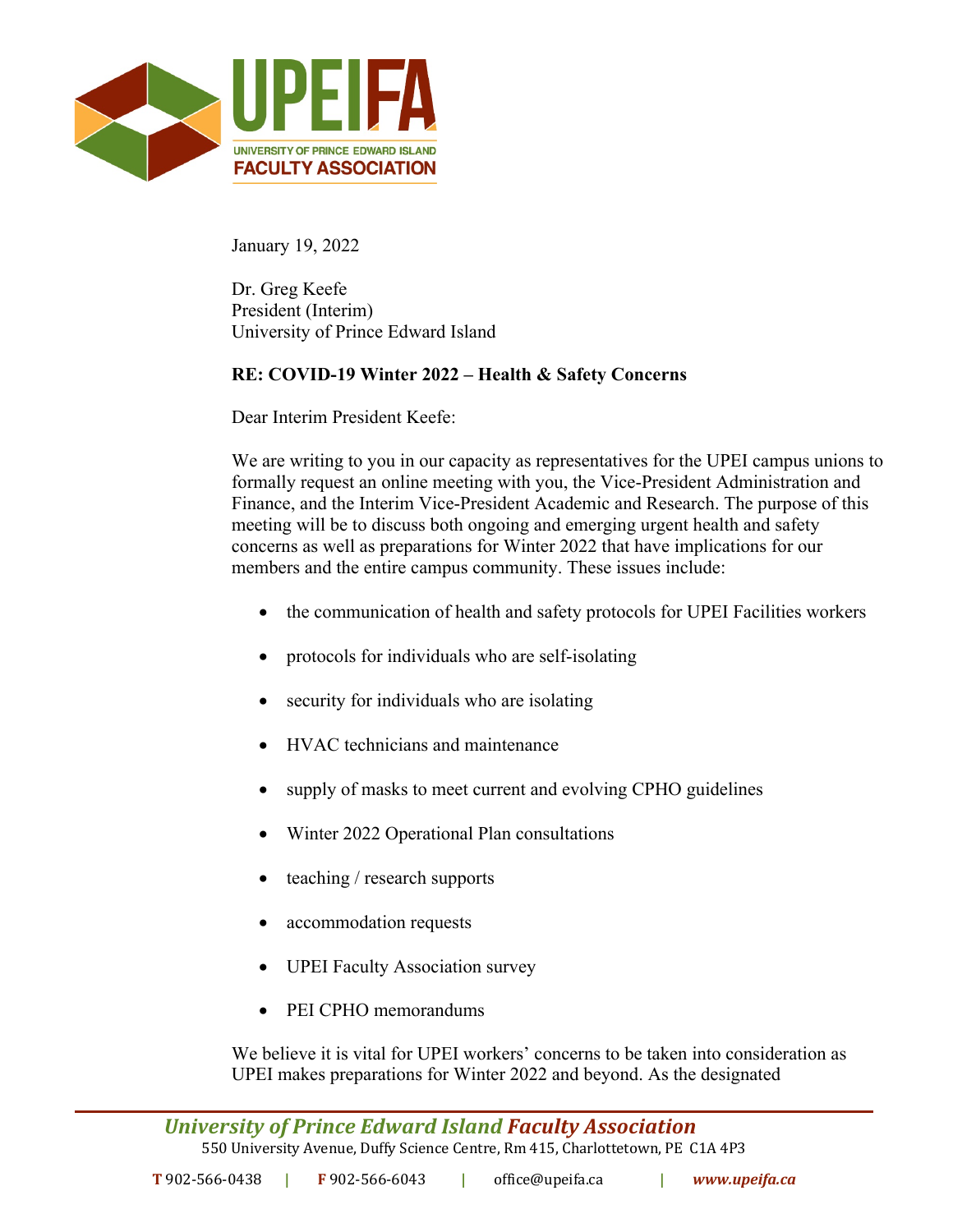

January 19, 2022

Dr. Greg Keefe President (Interim) University of Prince Edward Island

## **RE: COVID-19 Winter 2022 – Health & Safety Concerns**

Dear Interim President Keefe:

We are writing to you in our capacity as representatives for the UPEI campus unions to formally request an online meeting with you, the Vice-President Administration and Finance, and the Interim Vice-President Academic and Research. The purpose of this meeting will be to discuss both ongoing and emerging urgent health and safety concerns as well as preparations for Winter 2022 that have implications for our members and the entire campus community. These issues include:

- the communication of health and safety protocols for UPEI Facilities workers
- protocols for individuals who are self-isolating
- security for individuals who are isolating
- HVAC technicians and maintenance
- supply of masks to meet current and evolving CPHO guidelines
- Winter 2022 Operational Plan consultations
- teaching / research supports
- accommodation requests
- UPEI Faculty Association survey
- PEI CPHO memorandums

We believe it is vital for UPEI workers' concerns to be taken into consideration as UPEI makes preparations for Winter 2022 and beyond. As the designated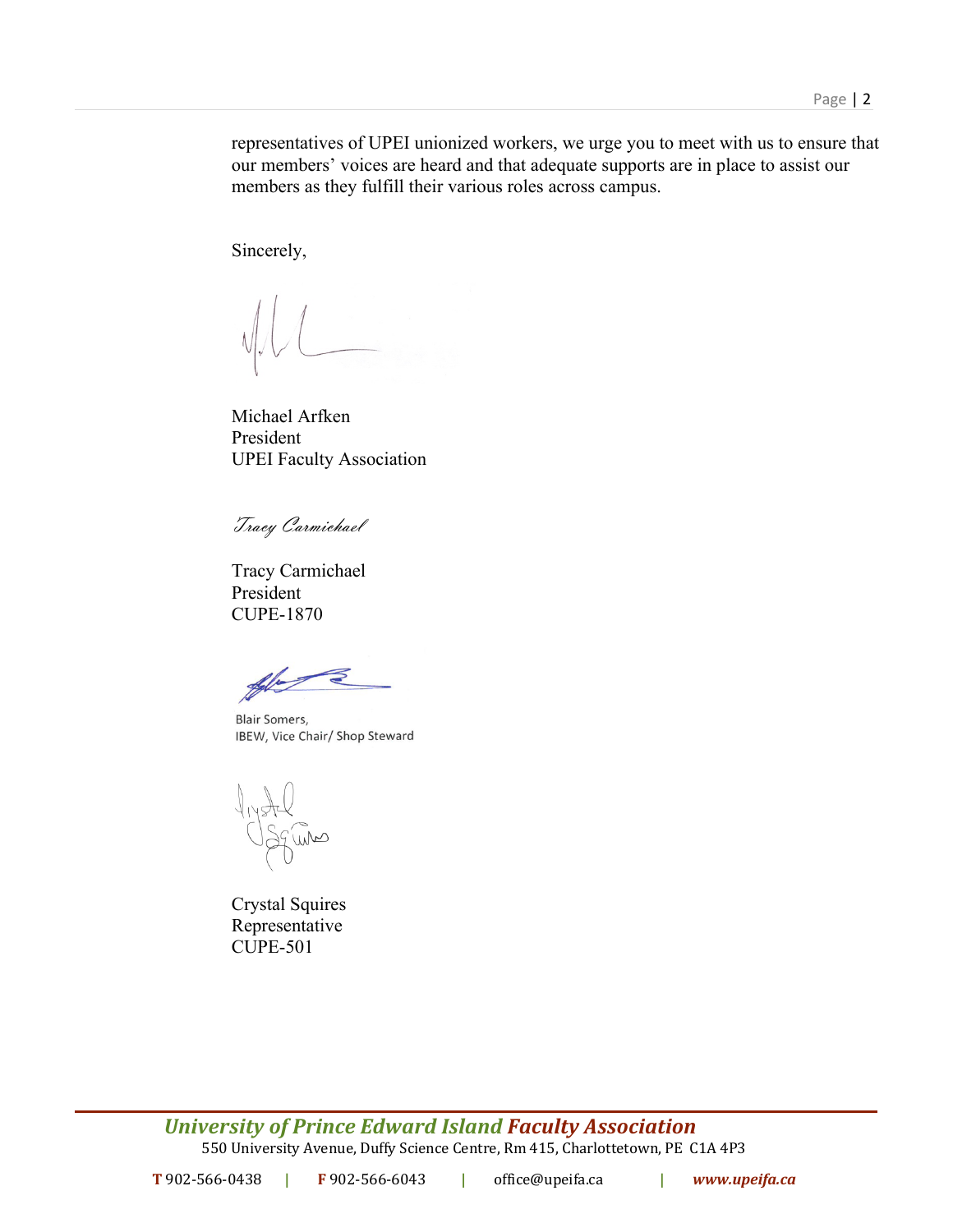representatives of UPEI unionized workers, we urge you to meet with us to ensure that our members' voices are heard and that adequate supports are in place to assist our members as they fulfill their various roles across campus.

Sincerely,

Michael Arfken President UPEI Faculty Association

Tracy Carmichael

Tracy Carmichael President CUPE-1870

**Blair Somers,** IBEW, Vice Chair/ Shop Steward

liyatel<br>Osquino

Crystal Squires Representative CUPE-501

*University of Prince Edward Island Faculty Association* 550 University Avenue, Duffy Science Centre, Rm 415, Charlottetown, PE C1A 4P3